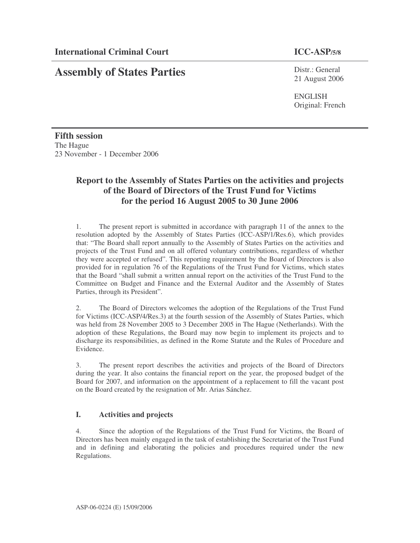# **Assembly of States Parties**

Distr.: General 21 August 2006

ENGLISH Original: French

**Fifth session** The Hague 23 November - 1 December 2006

# **Report to the Assembly of States Parties on the activities and projects of the Board of Directors of the Trust Fund for Victims for the period 16 August 2005 to 30 June 2006**

1. The present report is submitted in accordance with paragraph 11 of the annex to the resolution adopted by the Assembly of States Parties (ICC-ASP/1/Res.6), which provides that: "The Board shall report annually to the Assembly of States Parties on the activities and projects of the Trust Fund and on all offered voluntary contributions, regardless of whether they were accepted or refused". This reporting requirement by the Board of Directors is also provided for in regulation 76 of the Regulations of the Trust Fund for Victims, which states that the Board "shall submit a written annual report on the activities of the Trust Fund to the Committee on Budget and Finance and the External Auditor and the Assembly of States Parties, through its President".

2. The Board of Directors welcomes the adoption of the Regulations of the Trust Fund for Victims (ICC-ASP/4/Res.3) at the fourth session of the Assembly of States Parties, which was held from 28 November 2005 to 3 December 2005 in The Hague (Netherlands). With the adoption of these Regulations, the Board may now begin to implement its projects and to discharge its responsibilities, as defined in the Rome Statute and the Rules of Procedure and Evidence.

3. The present report describes the activities and projects of the Board of Directors during the year. It also contains the financial report on the year, the proposed budget of the Board for 2007, and information on the appointment of a replacement to fill the vacant post on the Board created by the resignation of Mr. Arias Sánchez.

# **I. Activities and projects**

4. Since the adoption of the Regulations of the Trust Fund for Victims, the Board of Directors has been mainly engaged in the task of establishing the Secretariat of the Trust Fund and in defining and elaborating the policies and procedures required under the new Regulations.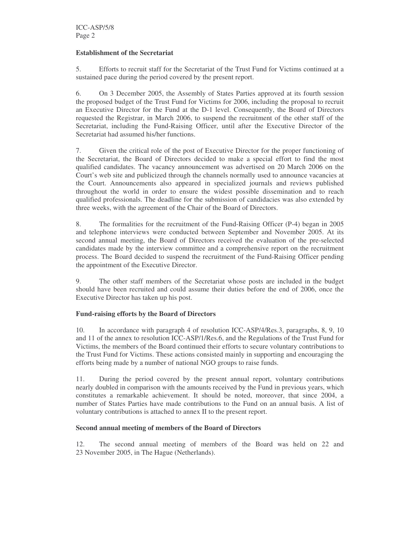#### **Establishment of the Secretariat**

5. Efforts to recruit staff for the Secretariat of the Trust Fund for Victims continued at a sustained pace during the period covered by the present report.

6. On 3 December 2005, the Assembly of States Parties approved at its fourth session the proposed budget of the Trust Fund for Victims for 2006, including the proposal to recruit an Executive Director for the Fund at the D-1 level. Consequently, the Board of Directors requested the Registrar, in March 2006, to suspend the recruitment of the other staff of the Secretariat, including the Fund-Raising Officer, until after the Executive Director of the Secretariat had assumed his/her functions.

7. Given the critical role of the post of Executive Director for the proper functioning of the Secretariat, the Board of Directors decided to make a special effort to find the most qualified candidates. The vacancy announcement was advertised on 20 March 2006 on the Court's web site and publicized through the channels normally used to announce vacancies at the Court. Announcements also appeared in specialized journals and reviews published throughout the world in order to ensure the widest possible dissemination and to reach qualified professionals. The deadline for the submission of candidacies was also extended by three weeks, with the agreement of the Chair of the Board of Directors.

8. The formalities for the recruitment of the Fund-Raising Officer (P-4) began in 2005 and telephone interviews were conducted between September and November 2005. At its second annual meeting, the Board of Directors received the evaluation of the pre-selected candidates made by the interview committee and a comprehensive report on the recruitment process. The Board decided to suspend the recruitment of the Fund-Raising Officer pending the appointment of the Executive Director.

9. The other staff members of the Secretariat whose posts are included in the budget should have been recruited and could assume their duties before the end of 2006, once the Executive Director has taken up his post.

#### **Fund-raising efforts by the Board of Directors**

10. In accordance with paragraph 4 of resolution ICC-ASP/4/Res.3, paragraphs, 8, 9, 10 and 11 of the annex to resolution ICC-ASP/1/Res.6, and the Regulations of the Trust Fund for Victims, the members of the Board continued their efforts to secure voluntary contributions to the Trust Fund for Victims. These actions consisted mainly in supporting and encouraging the efforts being made by a number of national NGO groups to raise funds.

11. During the period covered by the present annual report, voluntary contributions nearly doubled in comparison with the amounts received by the Fund in previous years, which constitutes a remarkable achievement. It should be noted, moreover, that since 2004, a number of States Parties have made contributions to the Fund on an annual basis. A list of voluntary contributions is attached to annex II to the present report.

#### **Second annual meeting of members of the Board of Directors**

12. The second annual meeting of members of the Board was held on 22 and 23 November 2005, in The Hague (Netherlands).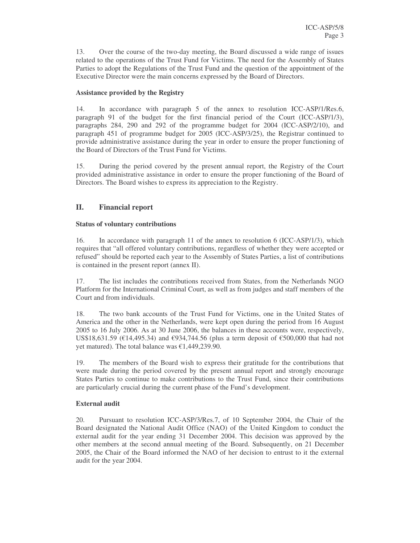13. Over the course of the two-day meeting, the Board discussed a wide range of issues related to the operations of the Trust Fund for Victims. The need for the Assembly of States Parties to adopt the Regulations of the Trust Fund and the question of the appointment of the Executive Director were the main concerns expressed by the Board of Directors.

### **Assistance provided by the Registry**

14. In accordance with paragraph 5 of the annex to resolution ICC-ASP/1/Res.6, paragraph 91 of the budget for the first financial period of the Court (ICC-ASP/1/3), paragraphs 284, 290 and 292 of the programme budget for 2004 (ICC-ASP/2/10), and paragraph 451 of programme budget for 2005 (ICC-ASP/3/25), the Registrar continued to provide administrative assistance during the year in order to ensure the proper functioning of the Board of Directors of the Trust Fund for Victims.

15. During the period covered by the present annual report, the Registry of the Court provided administrative assistance in order to ensure the proper functioning of the Board of Directors. The Board wishes to express its appreciation to the Registry.

# **II. Financial report**

### **Status of voluntary contributions**

16. In accordance with paragraph 11 of the annex to resolution 6 (ICC-ASP/1/3), which requires that "all offered voluntary contributions, regardless of whether they were accepted or refused" should be reported each year to the Assembly of States Parties, a list of contributions is contained in the present report (annex II).

17. The list includes the contributions received from States, from the Netherlands NGO Platform for the International Criminal Court, as well as from judges and staff members of the Court and from individuals.

18. The two bank accounts of the Trust Fund for Victims, one in the United States of America and the other in the Netherlands, were kept open during the period from 16 August 2005 to 16 July 2006. As at 30 June 2006, the balances in these accounts were, respectively, US\$18,631.59 (€14,495.34) and €934,744.56 (plus a term deposit of €500,000 that had not yet matured). The total balance was  $£1,449,239.90$ .

19. The members of the Board wish to express their gratitude for the contributions that were made during the period covered by the present annual report and strongly encourage States Parties to continue to make contributions to the Trust Fund, since their contributions are particularly crucial during the current phase of the Fund's development.

## **External audit**

20. Pursuant to resolution ICC-ASP/3/Res.7, of 10 September 2004, the Chair of the Board designated the National Audit Office (NAO) of the United Kingdom to conduct the external audit for the year ending 31 December 2004. This decision was approved by the other members at the second annual meeting of the Board. Subsequently, on 21 December 2005, the Chair of the Board informed the NAO of her decision to entrust to it the external audit for the year 2004.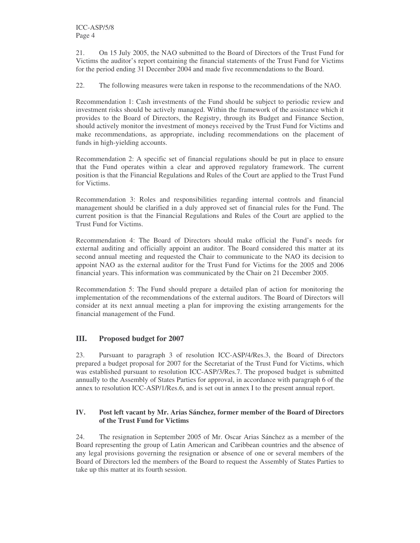21. On 15 July 2005, the NAO submitted to the Board of Directors of the Trust Fund for Victims the auditor's report containing the financial statements of the Trust Fund for Victims for the period ending 31 December 2004 and made five recommendations to the Board.

22. The following measures were taken in response to the recommendations of the NAO.

Recommendation 1: Cash investments of the Fund should be subject to periodic review and investment risks should be actively managed. Within the framework of the assistance which it provides to the Board of Directors, the Registry, through its Budget and Finance Section, should actively monitor the investment of moneys received by the Trust Fund for Victims and make recommendations, as appropriate, including recommendations on the placement of funds in high-yielding accounts.

Recommendation 2: A specific set of financial regulations should be put in place to ensure that the Fund operates within a clear and approved regulatory framework. The current position is that the Financial Regulations and Rules of the Court are applied to the Trust Fund for Victims.

Recommendation 3: Roles and responsibilities regarding internal controls and financial management should be clarified in a duly approved set of financial rules for the Fund. The current position is that the Financial Regulations and Rules of the Court are applied to the Trust Fund for Victims.

Recommendation 4: The Board of Directors should make official the Fund's needs for external auditing and officially appoint an auditor. The Board considered this matter at its second annual meeting and requested the Chair to communicate to the NAO its decision to appoint NAO as the external auditor for the Trust Fund for Victims for the 2005 and 2006 financial years. This information was communicated by the Chair on 21 December 2005.

Recommendation 5: The Fund should prepare a detailed plan of action for monitoring the implementation of the recommendations of the external auditors. The Board of Directors will consider at its next annual meeting a plan for improving the existing arrangements for the financial management of the Fund.

# **III. Proposed budget for 2007**

23. Pursuant to paragraph 3 of resolution ICC-ASP/4/Res.3, the Board of Directors prepared a budget proposal for 2007 for the Secretariat of the Trust Fund for Victims, which was established pursuant to resolution ICC-ASP/3/Res.7. The proposed budget is submitted annually to the Assembly of States Parties for approval, in accordance with paragraph 6 of the annex to resolution ICC-ASP/1/Res.6, and is set out in annex I to the present annual report.

### **IV. Post left vacant by Mr. Arias Sánchez, former member of the Board of Directors of the Trust Fund for Victims**

24. The resignation in September 2005 of Mr. Oscar Arias Sánchez as a member of the Board representing the group of Latin American and Caribbean countries and the absence of any legal provisions governing the resignation or absence of one or several members of the Board of Directors led the members of the Board to request the Assembly of States Parties to take up this matter at its fourth session.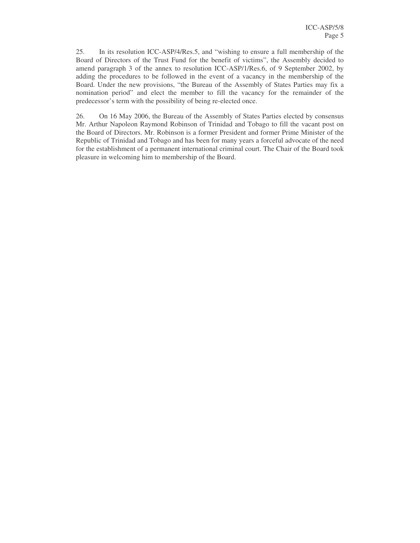25. In its resolution ICC-ASP/4/Res.5, and "wishing to ensure a full membership of the Board of Directors of the Trust Fund for the benefit of victims", the Assembly decided to amend paragraph 3 of the annex to resolution ICC-ASP/1/Res.6, of 9 September 2002, by adding the procedures to be followed in the event of a vacancy in the membership of the Board. Under the new provisions, "the Bureau of the Assembly of States Parties may fix a nomination period" and elect the member to fill the vacancy for the remainder of the predecessor's term with the possibility of being re-elected once.

26. On 16 May 2006, the Bureau of the Assembly of States Parties elected by consensus Mr. Arthur Napoleon Raymond Robinson of Trinidad and Tobago to fill the vacant post on the Board of Directors. Mr. Robinson is a former President and former Prime Minister of the Republic of Trinidad and Tobago and has been for many years a forceful advocate of the need for the establishment of a permanent international criminal court. The Chair of the Board took pleasure in welcoming him to membership of the Board.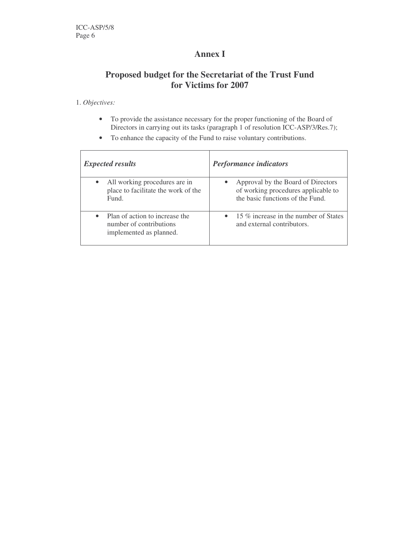# **Annex I**

# **Proposed budget for the Secretariat of the Trust Fund for Victims for 2007**

### 1. *Objectives:*

- To provide the assistance necessary for the proper functioning of the Board of Directors in carrying out its tasks (paragraph 1 of resolution ICC-ASP/3/Res.7);
- To enhance the capacity of the Fund to raise voluntary contributions.

| <b>Expected results</b>                                                                    | <b>Performance indicators</b>                                                                                 |
|--------------------------------------------------------------------------------------------|---------------------------------------------------------------------------------------------------------------|
| All working procedures are in<br>$\bullet$<br>place to facilitate the work of the<br>Fund. | Approval by the Board of Directors<br>of working procedures applicable to<br>the basic functions of the Fund. |
| Plan of action to increase the<br>number of contributions<br>implemented as planned.       | • 15 $\%$ increase in the number of States<br>and external contributors.                                      |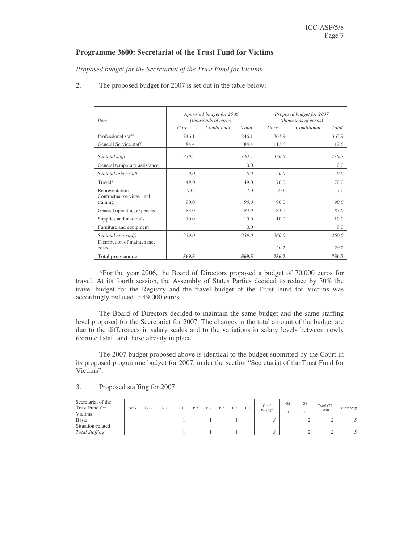# **Programme 3600: Secretariat of the Trust Fund for Victims**

*Proposed budget for the Secretariat of the Trust Fund for Victims*

2. The proposed budget for 2007 is set out in the table below:

| <i>Item</i>                                   |       | Approved budget for 2006<br>(thousands of euros) |       | Proposed budget for 2007<br>(thousands of euros) |             |       |  |  |
|-----------------------------------------------|-------|--------------------------------------------------|-------|--------------------------------------------------|-------------|-------|--|--|
|                                               | Core  | Conditional                                      | Total | Core                                             | Conditional | Total |  |  |
| Professional staff                            | 246.1 |                                                  | 246.1 | 363.9                                            |             | 363.9 |  |  |
| General Service staff                         | 84.4  |                                                  | 84.4  | 112.6                                            |             | 112.6 |  |  |
| Subtotal staff                                | 330.5 |                                                  | 330.5 | 476.5                                            |             | 476.5 |  |  |
| General temporary assistance                  |       |                                                  | 0.0   |                                                  |             | 0.0   |  |  |
| Subtotal other staff                          | 0.0   |                                                  | 0.0   | 0.0                                              |             | 0.0   |  |  |
| Travel*                                       | 49.0  |                                                  | 49.0  | 70.0                                             |             | 70.0  |  |  |
| Representation<br>Contractual services, incl. | 7.0   |                                                  | 7.0   | 7.0                                              |             | 7.0   |  |  |
| training                                      | 90.0  |                                                  | 90.0  | 90.0                                             |             | 90.0  |  |  |
| General operating expenses                    | 83.0  |                                                  | 83.0  | 83.0                                             |             | 83.0  |  |  |
| Supplies and materials                        | 10.0  |                                                  | 10.0  | 10.0                                             |             | 10.0  |  |  |
| Furniture and equipment                       |       |                                                  | 0.0   |                                                  |             | 0.0   |  |  |
| Subtotal non-staff)                           | 239.0 |                                                  | 239.0 | 260.0                                            |             | 260.0 |  |  |
| Distribution of maintenance<br>costs          |       |                                                  |       | 20.2                                             |             | 20.2  |  |  |
| <b>Total programme</b>                        | 569.5 |                                                  | 569.5 | 756.7                                            |             | 756.7 |  |  |

\*For the year 2006, the Board of Directors proposed a budget of 70,000 euros for travel. At its fourth session, the Assembly of States Parties decided to reduce by 30% the travel budget for the Registry and the travel budget of the Trust Fund for Victims was accordingly reduced to 49,000 euros.

The Board of Directors decided to maintain the same budget and the same staffing level proposed for the Secretariat for 2007. The changes in the total amount of the budget are due to the differences in salary scales and to the variations in salary levels between newly recruited staff and those already in place.

The 2007 budget proposed above is identical to the budget submitted by the Court in its proposed programme budget for 2007, under the section "Secretariat of the Trust Fund for Victims".

| Secretariat of the<br>Trust Fund for<br>Victims | ASG | <b>USG</b> | $D-2$ | $D-1$ | P-5 | $P-4$ | $P-3$ | $P-2$ | $P-1$ | Total<br>P-Staff | <b>GS</b><br>PL | <b>GS</b><br>$\overline{\phantom{a}}$<br><b>OL</b> | Total GS-<br>Staff | Total Staff |
|-------------------------------------------------|-----|------------|-------|-------|-----|-------|-------|-------|-------|------------------|-----------------|----------------------------------------------------|--------------------|-------------|
| <b>Basic</b>                                    |     |            |       |       |     |       |       |       |       |                  |                 |                                                    |                    |             |
| Situation-related                               |     |            |       |       |     |       |       |       |       |                  |                 |                                                    |                    |             |
| <b>Total Staffing</b>                           |     |            |       |       |     |       |       |       |       |                  |                 |                                                    |                    |             |

#### 3. Proposed staffing for 2007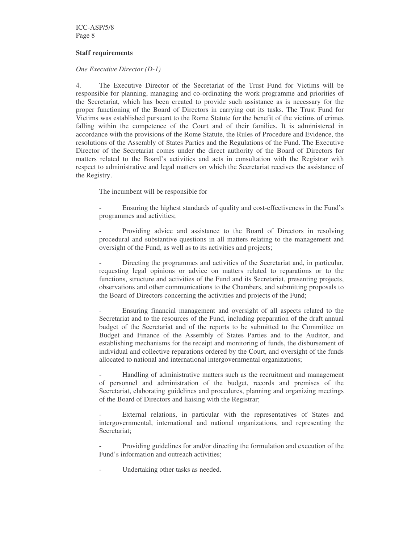ICC-ASP/5/8 Page 8

#### **Staff requirements**

#### *One Executive Director (D-1)*

4. The Executive Director of the Secretariat of the Trust Fund for Victims will be responsible for planning, managing and co-ordinating the work programme and priorities of the Secretariat, which has been created to provide such assistance as is necessary for the proper functioning of the Board of Directors in carrying out its tasks. The Trust Fund for Victims was established pursuant to the Rome Statute for the benefit of the victims of crimes falling within the competence of the Court and of their families. It is administered in accordance with the provisions of the Rome Statute, the Rules of Procedure and Evidence, the resolutions of the Assembly of States Parties and the Regulations of the Fund. The Executive Director of the Secretariat comes under the direct authority of the Board of Directors for matters related to the Board's activities and acts in consultation with the Registrar with respect to administrative and legal matters on which the Secretariat receives the assistance of the Registry.

The incumbent will be responsible for

Ensuring the highest standards of quality and cost-effectiveness in the Fund's programmes and activities;

- Providing advice and assistance to the Board of Directors in resolving procedural and substantive questions in all matters relating to the management and oversight of the Fund, as well as to its activities and projects;

Directing the programmes and activities of the Secretariat and, in particular, requesting legal opinions or advice on matters related to reparations or to the functions, structure and activities of the Fund and its Secretariat, presenting projects, observations and other communications to the Chambers, and submitting proposals to the Board of Directors concerning the activities and projects of the Fund;

- Ensuring financial management and oversight of all aspects related to the Secretariat and to the resources of the Fund, including preparation of the draft annual budget of the Secretariat and of the reports to be submitted to the Committee on Budget and Finance of the Assembly of States Parties and to the Auditor, and establishing mechanisms for the receipt and monitoring of funds, the disbursement of individual and collective reparations ordered by the Court, and oversight of the funds allocated to national and international intergovernmental organizations;

- Handling of administrative matters such as the recruitment and management of personnel and administration of the budget, records and premises of the Secretariat, elaborating guidelines and procedures, planning and organizing meetings of the Board of Directors and liaising with the Registrar;

External relations, in particular with the representatives of States and intergovernmental, international and national organizations, and representing the Secretariat;

Providing guidelines for and/or directing the formulation and execution of the Fund's information and outreach activities;

Undertaking other tasks as needed.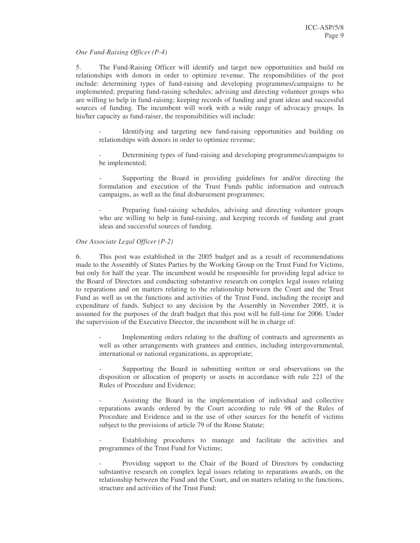#### *One Fund-Raising Officer (P-4)*

5. The Fund-Raising Officer will identify and target new opportunities and build on relationships with donors in order to optimize revenue. The responsibilities of the post include: determining types of fund-raising and developing programmes/campaigns to be implemented; preparing fund-raising schedules; advising and directing volunteer groups who are willing to help in fund-raising; keeping records of funding and grant ideas and successful sources of funding. The incumbent will work with a wide range of advocacy groups. In his/her capacity as fund-raiser, the responsibilities will include:

Identifying and targeting new fund-raising opportunities and building on relationships with donors in order to optimize revenue;

Determining types of fund-raising and developing programmes/campaigns to be implemented;

Supporting the Board in providing guidelines for and/or directing the formulation and execution of the Trust Funds public information and outreach campaigns, as well as the final disbursement programmes;

Preparing fund-raising schedules, advising and directing volunteer groups who are willing to help in fund-raising, and keeping records of funding and grant ideas and successful sources of funding.

#### *One Associate Legal Officer (P-2)*

6. This post was established in the 2005 budget and as a result of recommendations made to the Assembly of States Parties by the Working Group on the Trust Fund for Victims, but only for half the year. The incumbent would be responsible for providing legal advice to the Board of Directors and conducting substantive research on complex legal issues relating to reparations and on matters relating to the relationship between the Court and the Trust Fund as well as on the functions and activities of the Trust Fund, including the receipt and expenditure of funds. Subject to any decision by the Assembly in November 2005, it is assumed for the purposes of the draft budget that this post will be full-time for 2006. Under the supervision of the Executive Director, the incumbent will be in charge of:

Implementing orders relating to the drafting of contracts and agreements as well as other arrangements with grantees and entities, including intergovernmental, international or national organizations, as appropriate;

Supporting the Board in submitting written or oral observations on the disposition or allocation of property or assets in accordance with rule 221 of the Rules of Procedure and Evidence;

- Assisting the Board in the implementation of individual and collective reparations awards ordered by the Court according to rule 98 of the Rules of Procedure and Evidence and in the use of other sources for the benefit of victims subject to the provisions of article 79 of the Rome Statute;

Establishing procedures to manage and facilitate the activities and programmes of the Trust Fund for Victims;

Providing support to the Chair of the Board of Directors by conducting substantive research on complex legal issues relating to reparations awards, on the relationship between the Fund and the Court, and on matters relating to the functions, structure and activities of the Trust Fund;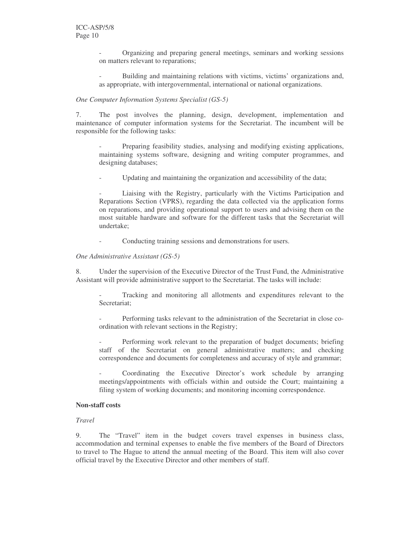- Organizing and preparing general meetings, seminars and working sessions on matters relevant to reparations;

- Building and maintaining relations with victims, victims' organizations and, as appropriate, with intergovernmental, international or national organizations.

#### *One Computer Information Systems Specialist (GS-5)*

7. The post involves the planning, design, development, implementation and maintenance of computer information systems for the Secretariat. The incumbent will be responsible for the following tasks:

Preparing feasibility studies, analysing and modifying existing applications, maintaining systems software, designing and writing computer programmes, and designing databases;

Updating and maintaining the organization and accessibility of the data;

Liaising with the Registry, particularly with the Victims Participation and Reparations Section (VPRS), regarding the data collected via the application forms on reparations, and providing operational support to users and advising them on the most suitable hardware and software for the different tasks that the Secretariat will undertake;

Conducting training sessions and demonstrations for users.

#### *One Administrative Assistant (GS-5)*

8. Under the supervision of the Executive Director of the Trust Fund, the Administrative Assistant will provide administrative support to the Secretariat. The tasks will include:

- Tracking and monitoring all allotments and expenditures relevant to the Secretariat;

Performing tasks relevant to the administration of the Secretariat in close coordination with relevant sections in the Registry;

Performing work relevant to the preparation of budget documents; briefing staff of the Secretariat on general administrative matters; and checking correspondence and documents for completeness and accuracy of style and grammar;

Coordinating the Executive Director's work schedule by arranging meetings/appointments with officials within and outside the Court; maintaining a filing system of working documents; and monitoring incoming correspondence.

#### **Non-staff costs**

#### *Travel*

9. The "Travel" item in the budget covers travel expenses in business class, accommodation and terminal expenses to enable the five members of the Board of Directors to travel to The Hague to attend the annual meeting of the Board. This item will also cover official travel by the Executive Director and other members of staff.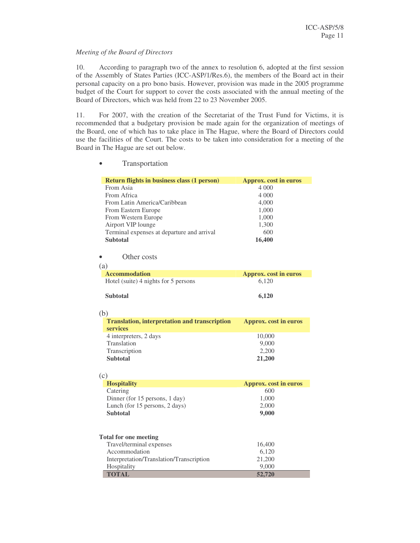#### *Meeting of the Board of Directors*

• Transportation

10. According to paragraph two of the annex to resolution 6, adopted at the first session of the Assembly of States Parties (ICC-ASP/1/Res.6), the members of the Board act in their personal capacity on a pro bono basis. However, provision was made in the 2005 programme budget of the Court for support to cover the costs associated with the annual meeting of the Board of Directors, which was held from 22 to 23 November 2005.

11. For 2007, with the creation of the Secretariat of the Trust Fund for Victims, it is recommended that a budgetary provision be made again for the organization of meetings of the Board, one of which has to take place in The Hague, where the Board of Directors could use the facilities of the Court. The costs to be taken into consideration for a meeting of the Board in The Hague are set out below.

| Return flights in business class (1 person)          | <b>Approx.</b> cost in euros |
|------------------------------------------------------|------------------------------|
| From Asia                                            | 4 000                        |
| From Africa                                          | 4 0 0 0                      |
| From Latin America/Caribbean                         | 4,000                        |
| From Eastern Europe                                  | 1,000                        |
| From Western Europe                                  | 1,000                        |
| Airport VIP lounge                                   | 1,300                        |
| Terminal expenses at departure and arrival           | 600                          |
| <b>Subtotal</b>                                      | 16,400                       |
|                                                      |                              |
| Other costs                                          |                              |
| (a)                                                  |                              |
|                                                      |                              |
| <b>Accommodation</b>                                 | <b>Approx.</b> cost in euros |
| Hotel (suite) 4 nights for 5 persons                 | 6,120                        |
|                                                      |                              |
| <b>Subtotal</b>                                      | 6,120                        |
|                                                      |                              |
| (b)                                                  |                              |
| <b>Translation, interpretation and transcription</b> | <b>Approx.</b> cost in euros |
| services                                             |                              |
| 4 interpreters, 2 days                               | 10,000                       |
| Translation                                          | 9,000                        |
| Transcription                                        | 2,200                        |
| <b>Subtotal</b>                                      | 21,200                       |
|                                                      |                              |
| (c)                                                  |                              |
| <b>Hospitality</b>                                   | <b>Approx.</b> cost in euros |
| Catering                                             | 600                          |
| Dinner (for 15 persons, 1 day)                       | 1,000                        |
| Lunch (for 15 persons, 2 days)                       | 2,000                        |
| <b>Subtotal</b>                                      | 9,000                        |
|                                                      |                              |
|                                                      |                              |
|                                                      |                              |
| <b>Total for one meeting</b>                         |                              |
| Travel/terminal expenses                             | 16,400                       |
| Accommodation                                        | 6,120                        |
| Interpretation/Translation/Transcription             | 21,200                       |
| Hospitality                                          | 9,000                        |
| <b>TOTAL</b>                                         | 52,720                       |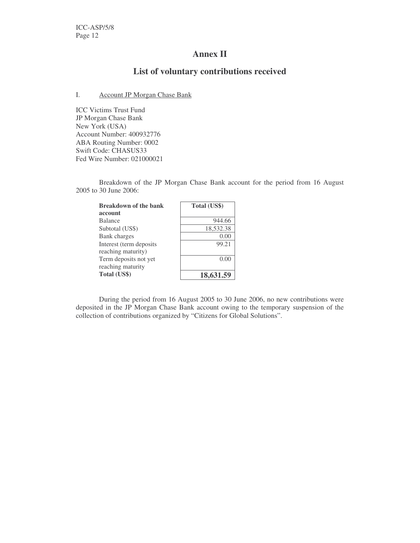# **Annex II**

# **List of voluntary contributions received**

### I. Account JP Morgan Chase Bank

ICC Victims Trust Fund JP Morgan Chase Bank New York (USA) Account Number: 400932776 ABA Routing Number: 0002 Swift Code: CHASUS33 Fed Wire Number: 021000021

Breakdown of the JP Morgan Chase Bank account for the period from 16 August 2005 to 30 June 2006:

| <b>Breakdown of the bank</b> | Total (US\$) |  |  |  |
|------------------------------|--------------|--|--|--|
| account                      |              |  |  |  |
| <b>Balance</b>               | 944.66       |  |  |  |
| Subtotal (US\$)              | 18,532.38    |  |  |  |
| Bank charges                 | 0.00         |  |  |  |
| Interest (term deposits      | 99.21        |  |  |  |
| reaching maturity)           |              |  |  |  |
| Term deposits not yet        | 0.00         |  |  |  |
| reaching maturity            |              |  |  |  |
| Total (US\$)                 | 18,631.59    |  |  |  |

During the period from 16 August 2005 to 30 June 2006, no new contributions were deposited in the JP Morgan Chase Bank account owing to the temporary suspension of the collection of contributions organized by "Citizens for Global Solutions".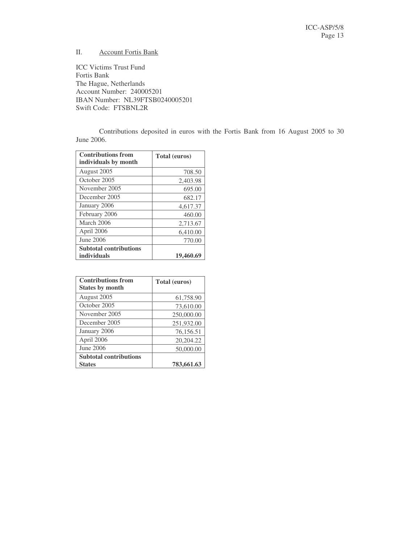### II. Account Fortis Bank

ICC Victims Trust Fund Fortis Bank The Hague, Netherlands Account Number: 240005201 IBAN Number: NL39FTSB0240005201 Swift Code: FTSBNL2R

Contributions deposited in euros with the Fortis Bank from 16 August 2005 to 30 June 2006.

| <b>Contributions from</b><br>individuals by month | Total (euros) |
|---------------------------------------------------|---------------|
| August 2005                                       | 708.50        |
| October 2005                                      | 2,403.98      |
| November 2005                                     | 695.00        |
| December 2005                                     | 682.17        |
| January 2006                                      | 4,617.37      |
| February 2006                                     | 460.00        |
| March 2006                                        | 2,713.67      |
| April 2006                                        | 6,410.00      |
| June 2006                                         | 770.00        |
| <b>Subtotal contributions</b>                     |               |
| individuals                                       | 19,460.69     |

| <b>Contributions from</b><br><b>States by month</b> | Total (euros) |
|-----------------------------------------------------|---------------|
| August 2005                                         | 61,758.90     |
| October 2005                                        | 73,610.00     |
| November 2005                                       | 250,000.00    |
| December 2005                                       | 251,932.00    |
| January 2006                                        | 76,156.51     |
| April 2006                                          | 20,204.22     |
| June 2006                                           | 50,000.00     |
| <b>Subtotal contributions</b>                       |               |
| <b>States</b>                                       | 783,661.63    |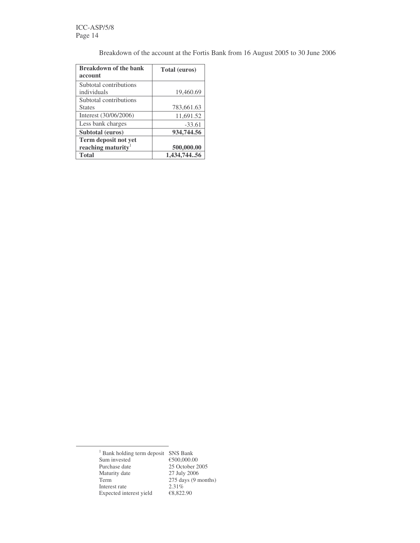Breakdown of the account at the Fortis Bank from 16 August 2005 to 30 June 2006

| <b>Breakdown of the bank</b> | <b>Total (euros)</b> |
|------------------------------|----------------------|
| account                      |                      |
| Subtotal contributions       |                      |
| individuals                  | 19,460.69            |
| Subtotal contributions       |                      |
| <b>States</b>                | 783,661.63           |
| Interest (30/06/2006)        | 11,691.52            |
| Less bank charges            | $-33.61$             |
| Subtotal (euros)             | 934,744.56           |
| <b>Term deposit not yet</b>  |                      |
| reaching maturity            | 500,000.00           |
| <b>Total</b>                 | 1,434,74456          |

<sup>1</sup> Bank holding term deposit SNS Bank<br>Sum invested  $\epsilon$  500,000.00 Sum invested<br>Purchase date 25 October 2005<br>27 July 2006 Maturity date<br>Term  $275 \text{ days}$  (9 months)<br> $2.31\%$ Interest rate 2.31%<br>Expected interest yield  $\epsilon$ 8,822.90 Expected interest yield